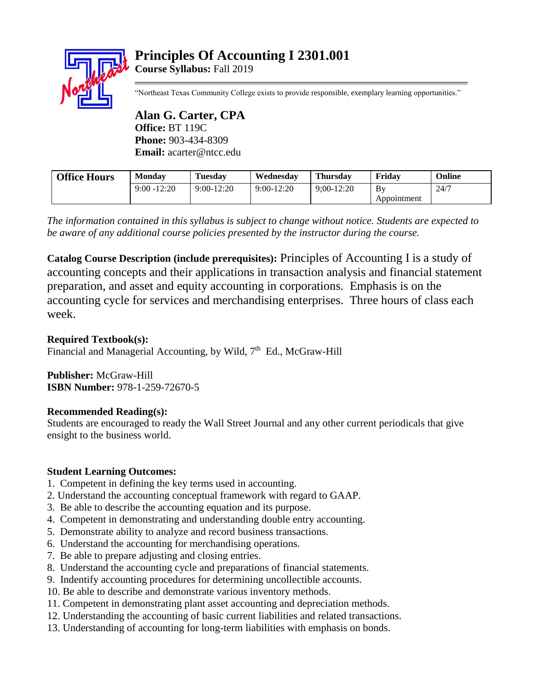# **Principles Of Accounting I 2301.001 Course Syllabus:** Fall 2019



"Northeast Texas Community College exists to provide responsible, exemplary learning opportunities."

**Alan G. Carter, CPA Office:** BT 119C **Phone:** 903-434-8309 **Email:** acarter@ntcc.edu

| <b>Office Hours</b> | <b>Monday</b>  | <b>Tuesday</b> | Wednesdav    | <b>Thursday</b> | Fridav      | Online |
|---------------------|----------------|----------------|--------------|-----------------|-------------|--------|
|                     | $9:00 - 12:20$ | $9:00-12:20$   | $9:00-12:20$ | $9:00-12:20$    | Bv          | 24/7   |
|                     |                |                |              |                 | Appointment |        |

*The information contained in this syllabus is subject to change without notice. Students are expected to be aware of any additional course policies presented by the instructor during the course.*

**Catalog Course Description (include prerequisites):** Principles of Accounting I is a study of accounting concepts and their applications in transaction analysis and financial statement preparation, and asset and equity accounting in corporations. Emphasis is on the accounting cycle for services and merchandising enterprises. Three hours of class each week.

**Required Textbook(s):**

Financial and Managerial Accounting, by Wild, 7<sup>th</sup> Ed., McGraw-Hill

**Publisher:** McGraw-Hill **ISBN Number:** 978-1-259-72670-5

## **Recommended Reading(s):**

Students are encouraged to ready the Wall Street Journal and any other current periodicals that give ensight to the business world.

## **Student Learning Outcomes:**

- 1. Competent in defining the key terms used in accounting.
- 2. Understand the accounting conceptual framework with regard to GAAP.
- 3. Be able to describe the accounting equation and its purpose.
- 4. Competent in demonstrating and understanding double entry accounting.
- 5. Demonstrate ability to analyze and record business transactions.
- 6. Understand the accounting for merchandising operations.
- 7. Be able to prepare adjusting and closing entries.
- 8. Understand the accounting cycle and preparations of financial statements.
- 9. Indentify accounting procedures for determining uncollectible accounts.
- 10. Be able to describe and demonstrate various inventory methods.
- 11. Competent in demonstrating plant asset accounting and depreciation methods.
- 12. Understanding the accounting of basic current liabilities and related transactions.
- 13. Understanding of accounting for long-term liabilities with emphasis on bonds.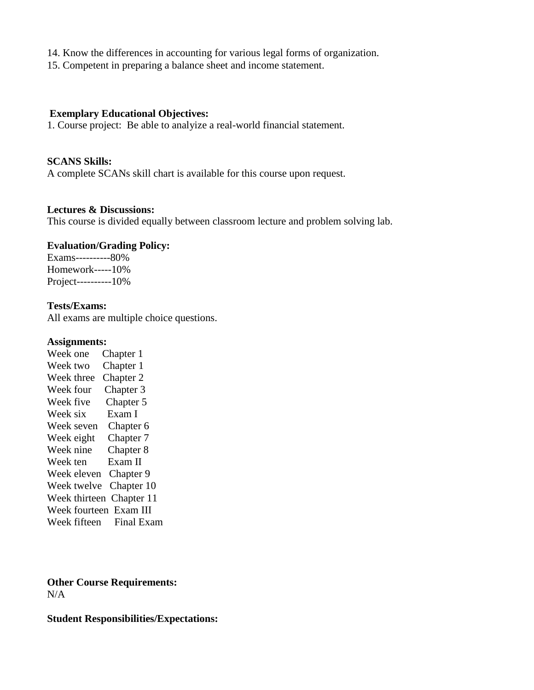- 14. Know the differences in accounting for various legal forms of organization.
- 15. Competent in preparing a balance sheet and income statement.

#### **Exemplary Educational Objectives:**

1. Course project: Be able to analyize a real-world financial statement.

#### **SCANS Skills:**

A complete SCANs skill chart is available for this course upon request.

#### **Lectures & Discussions:**

This course is divided equally between classroom lecture and problem solving lab.

## **Evaluation/Grading Policy:**

Exams----------80% Homework-----10% Project----------10%

#### **Tests/Exams:**

All exams are multiple choice questions.

#### **Assignments:**

Week one Chapter 1 Week two Chapter 1 Week three Chapter 2 Week four Chapter 3 Week five Chapter 5 Week six Exam I Week seven Chapter 6 Week eight Chapter 7 Week nine Chapter 8 Week ten Exam II Week eleven Chapter 9 Week twelve Chapter 10 Week thirteen Chapter 11 Week fourteen Exam III Week fifteen Final Exam

## **Other Course Requirements:** N/A

**Student Responsibilities/Expectations:**